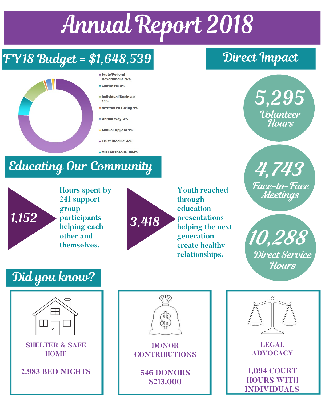## Annual Report 2018

#### FY18 Budget = \$1,648,539 Direct Impact



- State/Federal Government 75%
- Contracts 8%
- Individual/Business 11%
- Restricted Giving 1%
- **United Way 3%**
- **Annual Appeal 1%**
- **Trust Income .5%**
- Miscellaneous .094%

## Educating Our Community

# 1,152

**Hours spent by 241 support group participants helping each other and themselves.**



**Youth reached through education presentations helping the next generation create healthy relationships.**



4,743 Face-to-Face Meetings

10,288 Direct Service **Hours** 

### Did you know?





**DONOR CONTRIBUTIONS**

**546 DONORS \$213,000**



**LEGAL ADVOCACY** 

**1,094 COURT HOURS WITH INDIVIDUALS**